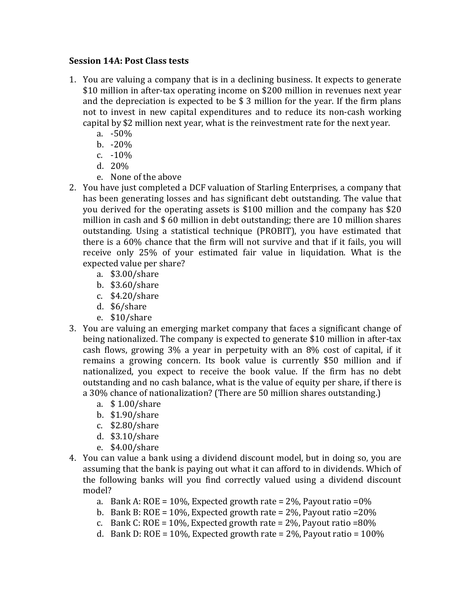## **Session 14A: Post Class tests**

- 1. You are valuing a company that is in a declining business. It expects to generate \$10 million in after-tax operating income on \$200 million in revenues next year and the depreciation is expected to be  $$3$  million for the year. If the firm plans not to invest in new capital expenditures and to reduce its non-cash working capital by \$2 million next year, what is the reinvestment rate for the next year.
	- a. -50%
	- b. -20%
	- c.  $-10\%$
	- d. 20%
	- e. None of the above
- 2. You have just completed a DCF valuation of Starling Enterprises, a company that has been generating losses and has significant debt outstanding. The value that you derived for the operating assets is \$100 million and the company has \$20 million in cash and  $$60$  million in debt outstanding; there are 10 million shares outstanding. Using a statistical technique (PROBIT), you have estimated that there is a  $60\%$  chance that the firm will not survive and that if it fails, you will receive only 25% of your estimated fair value in liquidation. What is the expected value per share?
	- a. \$3.00/share
	- b. \$3.60/share
	- c. \$4.20/share
	- d. \$6/share
	- e. \$10/share
- 3. You are valuing an emerging market company that faces a significant change of being nationalized. The company is expected to generate \$10 million in after-tax cash flows, growing  $3\%$  a year in perpetuity with an  $8\%$  cost of capital, if it remains a growing concern. Its book value is currently \$50 million and if nationalized, you expect to receive the book value. If the firm has no debt outstanding and no cash balance, what is the value of equity per share, if there is a 30% chance of nationalization? (There are 50 million shares outstanding.)
	- a. \$1.00/share
	- b. \$1.90/share
	- c. \$2.80/share
	- d. \$3.10/share
	- e. \$4.00/share
- 4. You can value a bank using a dividend discount model, but in doing so, you are assuming that the bank is paying out what it can afford to in dividends. Which of the following banks will you find correctly valued using a dividend discount model?
	- a. Bank A: ROE = 10%, Expected growth rate =  $2\%$ , Payout ratio =  $0\%$
	- b. Bank B: ROE =  $10\%$ , Expected growth rate =  $2\%$ , Payout ratio =  $20\%$
	- c. Bank C: ROE =  $10\%$ , Expected growth rate =  $2\%$ , Payout ratio =  $80\%$
	- d. Bank D: ROE =  $10\%$ , Expected growth rate =  $2\%$ , Payout ratio =  $100\%$